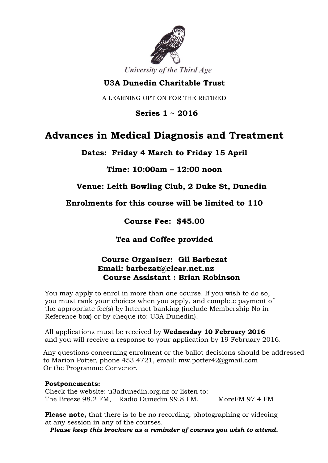

University of the Third Age

## **U3A Dunedin Charitable Trust**

A LEARNING OPTION FOR THE RETIRED

 **Series 1 ~ 2016**

# **Advances in Medical Diagnosis and Treatment**

**Dates: Friday 4 March to Friday 15 April**

**Time: 10:00am – 12:00 noon**

**Venue: Leith Bowling Club, 2 Duke St, Dunedin**

**Enrolments for this course will be limited to 110**

**Course Fee: \$45.00**

**Tea and Coffee provided**

### **Course Organiser: Gil Barbezat Email: barbezat@clear.net.nz Course Assistant : Brian Robinson**

You may apply to enrol in more than one course. If you wish to do so, you must rank your choices when you apply, and complete payment of the appropriate fee(s) by Internet banking (include Membership No in Reference box) or by cheque (to: U3A Dunedin).

All applications must be received by **Wednesday 10 February 2016** and you will receive a response to your application by 19 February 2016.

Any questions concerning enrolment or the ballot decisions should be addressed to Marion Potter, phone 453 4721, email: mw.potter42@gmail.com Or the Programme Convenor.

### **Postponements:**

Check the website: u3adunedin.org.nz or listen to: The Breeze 98.2 FM, Radio Dunedin 99.8 FM, MoreFM 97.4 FM

**Please note,** that there is to be no recording, photographing or videoing at any session in any of the courses.

*Please keep this brochure as a reminder of courses you wish to attend.*